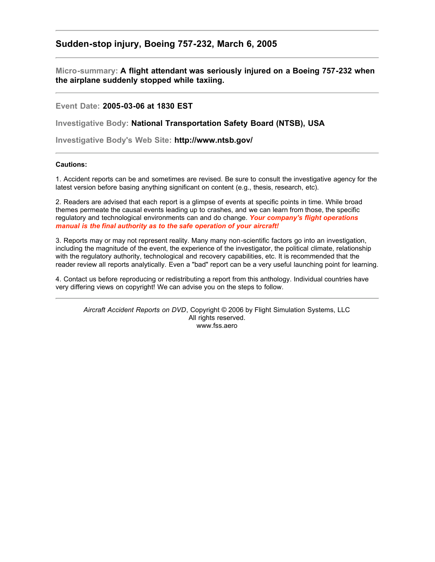## **Sudden-stop injury, Boeing 757-232, March 6, 2005**

**Micro-summary: A flight attendant was seriously injured on a Boeing 757-232 when the airplane suddenly stopped while taxiing.**

**Event Date: 2005-03-06 at 1830 EST**

**Investigative Body: National Transportation Safety Board (NTSB), USA**

**Investigative Body's Web Site: http://www.ntsb.gov/**

## **Cautions:**

1. Accident reports can be and sometimes are revised. Be sure to consult the investigative agency for the latest version before basing anything significant on content (e.g., thesis, research, etc).

2. Readers are advised that each report is a glimpse of events at specific points in time. While broad themes permeate the causal events leading up to crashes, and we can learn from those, the specific regulatory and technological environments can and do change. *Your company's flight operations manual is the final authority as to the safe operation of your aircraft!*

3. Reports may or may not represent reality. Many many non-scientific factors go into an investigation, including the magnitude of the event, the experience of the investigator, the political climate, relationship with the regulatory authority, technological and recovery capabilities, etc. It is recommended that the reader review all reports analytically. Even a "bad" report can be a very useful launching point for learning.

4. Contact us before reproducing or redistributing a report from this anthology. Individual countries have very differing views on copyright! We can advise you on the steps to follow.

*Aircraft Accident Reports on DVD*, Copyright © 2006 by Flight Simulation Systems, LLC All rights reserved. www.fss.aero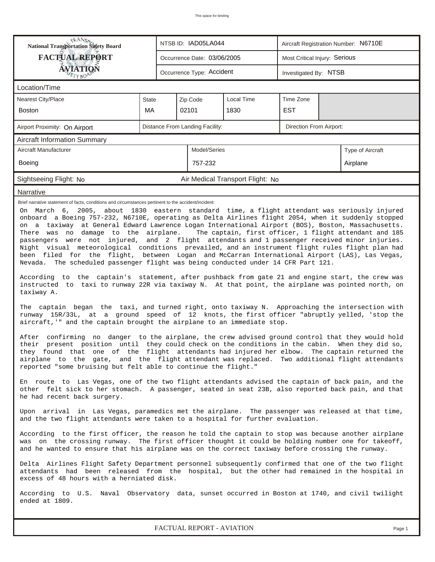| <b>National Transportation Safety Board</b>                                                                                                                                                                                                                                                                                                                                                                                                                                                                                                                                                                                                                                                                                                                                                                                                                                                                                                                                                                                                                                                                                                                                                                                                                                                                                                                                                                                                                                                                                                                                                                                                                                                                                                                                          |              | NTSB ID: IAD05LA044         |                                 | Aircraft Registration Number: N6710E |            |  |  |  |  |  |  |
|--------------------------------------------------------------------------------------------------------------------------------------------------------------------------------------------------------------------------------------------------------------------------------------------------------------------------------------------------------------------------------------------------------------------------------------------------------------------------------------------------------------------------------------------------------------------------------------------------------------------------------------------------------------------------------------------------------------------------------------------------------------------------------------------------------------------------------------------------------------------------------------------------------------------------------------------------------------------------------------------------------------------------------------------------------------------------------------------------------------------------------------------------------------------------------------------------------------------------------------------------------------------------------------------------------------------------------------------------------------------------------------------------------------------------------------------------------------------------------------------------------------------------------------------------------------------------------------------------------------------------------------------------------------------------------------------------------------------------------------------------------------------------------------|--------------|-----------------------------|---------------------------------|--------------------------------------|------------|--|--|--|--|--|--|
| <b>FACTUAL REPORT</b>                                                                                                                                                                                                                                                                                                                                                                                                                                                                                                                                                                                                                                                                                                                                                                                                                                                                                                                                                                                                                                                                                                                                                                                                                                                                                                                                                                                                                                                                                                                                                                                                                                                                                                                                                                |              | Occurrence Date: 03/06/2005 |                                 | Most Critical Injury: Serious        |            |  |  |  |  |  |  |
| <b>ÁVIATION</b>                                                                                                                                                                                                                                                                                                                                                                                                                                                                                                                                                                                                                                                                                                                                                                                                                                                                                                                                                                                                                                                                                                                                                                                                                                                                                                                                                                                                                                                                                                                                                                                                                                                                                                                                                                      |              | Occurrence Type: Accident   |                                 | Investigated By: NTSB                |            |  |  |  |  |  |  |
| ETYBOP<br>Location/Time                                                                                                                                                                                                                                                                                                                                                                                                                                                                                                                                                                                                                                                                                                                                                                                                                                                                                                                                                                                                                                                                                                                                                                                                                                                                                                                                                                                                                                                                                                                                                                                                                                                                                                                                                              |              |                             |                                 |                                      |            |  |  |  |  |  |  |
| <b>Nearest City/Place</b>                                                                                                                                                                                                                                                                                                                                                                                                                                                                                                                                                                                                                                                                                                                                                                                                                                                                                                                                                                                                                                                                                                                                                                                                                                                                                                                                                                                                                                                                                                                                                                                                                                                                                                                                                            | State        |                             | Zip Code                        | Local Time                           | Time Zone  |  |  |  |  |  |  |
| <b>Boston</b>                                                                                                                                                                                                                                                                                                                                                                                                                                                                                                                                                                                                                                                                                                                                                                                                                                                                                                                                                                                                                                                                                                                                                                                                                                                                                                                                                                                                                                                                                                                                                                                                                                                                                                                                                                        | МA           |                             | 02101                           | 1830                                 | <b>EST</b> |  |  |  |  |  |  |
| Airport Proximity: On Airport                                                                                                                                                                                                                                                                                                                                                                                                                                                                                                                                                                                                                                                                                                                                                                                                                                                                                                                                                                                                                                                                                                                                                                                                                                                                                                                                                                                                                                                                                                                                                                                                                                                                                                                                                        |              |                             | Distance From Landing Facility: | Direction From Airport:              |            |  |  |  |  |  |  |
| <b>Aircraft Information Summary</b>                                                                                                                                                                                                                                                                                                                                                                                                                                                                                                                                                                                                                                                                                                                                                                                                                                                                                                                                                                                                                                                                                                                                                                                                                                                                                                                                                                                                                                                                                                                                                                                                                                                                                                                                                  |              |                             |                                 |                                      |            |  |  |  |  |  |  |
| Aircraft Manufacturer                                                                                                                                                                                                                                                                                                                                                                                                                                                                                                                                                                                                                                                                                                                                                                                                                                                                                                                                                                                                                                                                                                                                                                                                                                                                                                                                                                                                                                                                                                                                                                                                                                                                                                                                                                | Model/Series |                             |                                 | Type of Aircraft                     |            |  |  |  |  |  |  |
| Boeing                                                                                                                                                                                                                                                                                                                                                                                                                                                                                                                                                                                                                                                                                                                                                                                                                                                                                                                                                                                                                                                                                                                                                                                                                                                                                                                                                                                                                                                                                                                                                                                                                                                                                                                                                                               |              |                             | 757-232                         |                                      | Airplane   |  |  |  |  |  |  |
| Sightseeing Flight: No                                                                                                                                                                                                                                                                                                                                                                                                                                                                                                                                                                                                                                                                                                                                                                                                                                                                                                                                                                                                                                                                                                                                                                                                                                                                                                                                                                                                                                                                                                                                                                                                                                                                                                                                                               |              |                             |                                 | Air Medical Transport Flight: No     |            |  |  |  |  |  |  |
| Narrative                                                                                                                                                                                                                                                                                                                                                                                                                                                                                                                                                                                                                                                                                                                                                                                                                                                                                                                                                                                                                                                                                                                                                                                                                                                                                                                                                                                                                                                                                                                                                                                                                                                                                                                                                                            |              |                             |                                 |                                      |            |  |  |  |  |  |  |
| On March 6, 2005, about 1830 eastern standard time, a flight attendant was seriously injured<br>onboard a Boeing 757-232, N6710E, operating as Delta Airlines flight 2054, when it suddenly stopped<br>on a taxiway at General Edward Lawrence Logan International Airport (BOS), Boston, Massachusetts.<br>There was no damage to the airplane.<br>The captain, first officer, 1 flight attendant and 185<br>passengers were not injured, and 2 flight attendants and 1 passenger received minor injuries.<br>Night visual meteorological conditions prevailed, and an instrument flight rules flight plan had<br>been filed for the flight, between Logan and McCarran International Airport (LAS), Las Vegas,<br>Nevada. The scheduled passenger flight was being conducted under 14 CFR Part 121.<br>According to the captain's statement, after pushback from gate 21 and engine start, the crew was<br>instructed to taxi to runway 22R via taxiway N. At that point, the airplane was pointed north, on<br>taxiway A.<br>The captain began the taxi, and turned right, onto taxiway N. Approaching the intersection with<br>runway 15R/33L, at a ground speed of 12 knots, the first officer "abruptly yelled, 'stop the<br>aircraft, '" and the captain brought the airplane to an immediate stop.<br>After confirming no danger to the airplane, the crew advised ground control that they would hold<br>their present position until they could check on the conditions in the cabin. When they did so,<br>they found that one of the flight attendants had injured her elbow. The captain returned the<br>airplane to the gate, and the flight attendant was replaced. Two additional flight attendants<br>reported "some bruising but felt able to continue the flight." |              |                             |                                 |                                      |            |  |  |  |  |  |  |
| En route to Las Vegas, one of the two flight attendants advised the captain of back pain, and the<br>other felt sick to her stomach. A passenger, seated in seat 23B, also reported back pain, and that<br>he had recent back surgery.<br>Upon arrival in Las Vegas, paramedics met the airplane. The passenger was released at that time,                                                                                                                                                                                                                                                                                                                                                                                                                                                                                                                                                                                                                                                                                                                                                                                                                                                                                                                                                                                                                                                                                                                                                                                                                                                                                                                                                                                                                                           |              |                             |                                 |                                      |            |  |  |  |  |  |  |
| and the two flight attendants were taken to a hospital for further evaluation.<br>According to the first officer, the reason he told the captain to stop was because another airplane<br>was on the crossing runway. The first officer thought it could be holding number one for takeoff,<br>and he wanted to ensure that his airplane was on the correct taxiway before crossing the runway.                                                                                                                                                                                                                                                                                                                                                                                                                                                                                                                                                                                                                                                                                                                                                                                                                                                                                                                                                                                                                                                                                                                                                                                                                                                                                                                                                                                       |              |                             |                                 |                                      |            |  |  |  |  |  |  |
| Delta Airlines Flight Safety Department personnel subsequently confirmed that one of the two flight<br>attendants had been released from the hospital, but the other had remained in the hospital in<br>excess of 48 hours with a herniated disk.                                                                                                                                                                                                                                                                                                                                                                                                                                                                                                                                                                                                                                                                                                                                                                                                                                                                                                                                                                                                                                                                                                                                                                                                                                                                                                                                                                                                                                                                                                                                    |              |                             |                                 |                                      |            |  |  |  |  |  |  |
| According to U.S. Naval Observatory data, sunset occurred in Boston at 1740, and civil twilight<br>ended at 1809.                                                                                                                                                                                                                                                                                                                                                                                                                                                                                                                                                                                                                                                                                                                                                                                                                                                                                                                                                                                                                                                                                                                                                                                                                                                                                                                                                                                                                                                                                                                                                                                                                                                                    |              |                             |                                 |                                      |            |  |  |  |  |  |  |

*FACTUAL REPORT - AVIATION Page 1*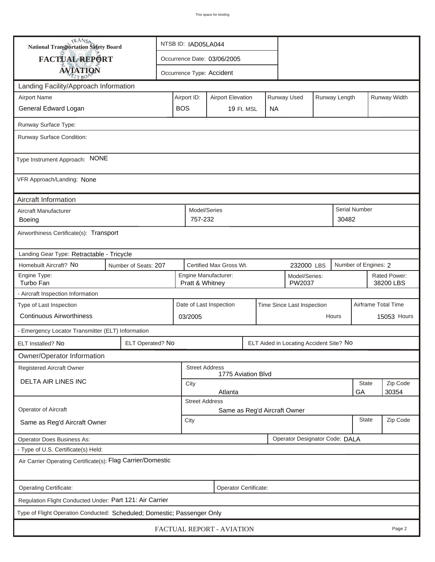| <b>National Transportation Safety Board</b>                             |                                                                                       | NTSB ID: IAD05LA044                                                     |                       |                             |           |  |                                |          |              |                           |                     |
|-------------------------------------------------------------------------|---------------------------------------------------------------------------------------|-------------------------------------------------------------------------|-----------------------|-----------------------------|-----------|--|--------------------------------|----------|--------------|---------------------------|---------------------|
| FACTUAL REPORT                                                          |                                                                                       |                                                                         |                       | Occurrence Date: 03/06/2005 |           |  |                                |          |              |                           |                     |
| <b>AVIATION</b>                                                         |                                                                                       |                                                                         |                       | Occurrence Type: Accident   |           |  |                                |          |              |                           |                     |
| Landing Facility/Approach Information                                   |                                                                                       |                                                                         |                       |                             |           |  |                                |          |              |                           |                     |
| <b>Airport Name</b>                                                     |                                                                                       | Runway Used<br>Airport ID:<br><b>Airport Elevation</b><br>Runway Length |                       |                             |           |  |                                |          | Runway Width |                           |                     |
| General Edward Logan                                                    | <b>BOS</b>                                                                            |                                                                         | 19 Ft. MSL            |                             | <b>NA</b> |  |                                |          |              |                           |                     |
| Runway Surface Type:                                                    |                                                                                       |                                                                         |                       |                             |           |  |                                |          |              |                           |                     |
| Runway Surface Condition:                                               |                                                                                       |                                                                         |                       |                             |           |  |                                |          |              |                           |                     |
| Type Instrument Approach: NONE                                          |                                                                                       |                                                                         |                       |                             |           |  |                                |          |              |                           |                     |
| VFR Approach/Landing: None                                              |                                                                                       |                                                                         |                       |                             |           |  |                                |          |              |                           |                     |
| Aircraft Information                                                    |                                                                                       |                                                                         | Model/Series          |                             |           |  |                                |          |              |                           |                     |
| Aircraft Manufacturer<br>Boeing                                         |                                                                                       |                                                                         |                       |                             |           |  |                                |          | 30482        | <b>Serial Number</b>      |                     |
| Airworthiness Certificate(s): Transport                                 |                                                                                       |                                                                         |                       |                             |           |  |                                |          |              |                           |                     |
| Landing Gear Type: Retractable - Tricycle                               |                                                                                       |                                                                         |                       |                             |           |  |                                |          |              |                           |                     |
| Homebuilt Aircraft? No                                                  | Certified Max Gross Wt.<br>Number of Engines: 2<br>Number of Seats: 207<br>232000 LBS |                                                                         |                       |                             |           |  |                                |          |              |                           |                     |
| Engine Type:<br>Turbo Fan                                               |                                                                                       | Engine Manufacturer:<br>Model/Series:<br>Pratt & Whitney<br>PW2037      |                       |                             |           |  |                                |          |              | Rated Power:<br>38200 LBS |                     |
| - Aircraft Inspection Information                                       |                                                                                       |                                                                         |                       |                             |           |  |                                |          |              |                           |                     |
| Type of Last Inspection                                                 |                                                                                       |                                                                         |                       | Date of Last Inspection     |           |  | Time Since Last Inspection     |          |              |                           | Airframe Total Time |
| <b>Continuous Airworthiness</b>                                         |                                                                                       |                                                                         | 03/2005               |                             |           |  |                                | Hours    |              | 15053 Hours               |                     |
| - Emergency Locator Transmitter (ELT) Information                       |                                                                                       |                                                                         |                       |                             |           |  |                                |          |              |                           |                     |
| ELT Installed? No                                                       | ELT Operated? No                                                                      | ELT Aided in Locating Accident Site? No                                 |                       |                             |           |  |                                |          |              |                           |                     |
| Owner/Operator Information                                              |                                                                                       |                                                                         |                       |                             |           |  |                                |          |              |                           |                     |
| Registered Aircraft Owner                                               |                                                                                       |                                                                         | <b>Street Address</b> | 1775 Aviation Blvd          |           |  |                                |          |              |                           |                     |
| DELTA AIR LINES INC                                                     |                                                                                       |                                                                         | City                  |                             |           |  |                                |          |              | <b>State</b>              | Zip Code            |
|                                                                         |                                                                                       |                                                                         | <b>Street Address</b> | Atlanta                     |           |  |                                |          |              | GА                        | 30354               |
| Operator of Aircraft                                                    |                                                                                       |                                                                         |                       |                             |           |  | Same as Reg'd Aircraft Owner   |          |              |                           |                     |
| Same as Reg'd Aircraft Owner                                            | City                                                                                  |                                                                         |                       |                             |           |  | <b>State</b>                   | Zip Code |              |                           |                     |
| Operator Does Business As:                                              |                                                                                       |                                                                         |                       |                             |           |  | Operator Designator Code: DALA |          |              |                           |                     |
| - Type of U.S. Certificate(s) Held:                                     |                                                                                       |                                                                         |                       |                             |           |  |                                |          |              |                           |                     |
| Air Carrier Operating Certificate(s): Flag Carrier/Domestic             |                                                                                       |                                                                         |                       |                             |           |  |                                |          |              |                           |                     |
| Operating Certificate:<br>Operator Certificate:                         |                                                                                       |                                                                         |                       |                             |           |  |                                |          |              |                           |                     |
| Regulation Flight Conducted Under: Part 121: Air Carrier                |                                                                                       |                                                                         |                       |                             |           |  |                                |          |              |                           |                     |
| Type of Flight Operation Conducted: Scheduled; Domestic; Passenger Only |                                                                                       |                                                                         |                       |                             |           |  |                                |          |              |                           |                     |
| FACTUAL REPORT - AVIATION<br>Page 2                                     |                                                                                       |                                                                         |                       |                             |           |  |                                |          |              |                           |                     |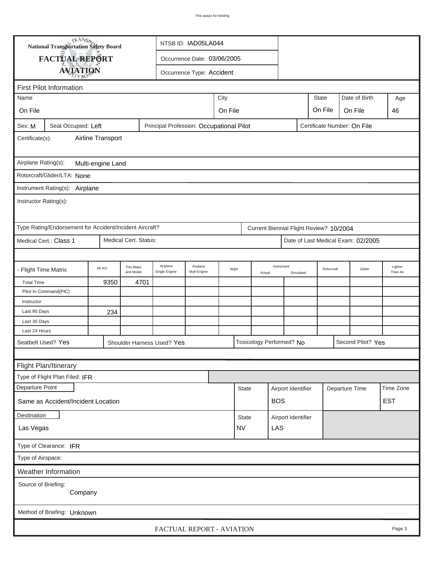|                                          | TRANSA<br>NTSB ID: IAD05LA044<br>National Transportation Safety Board |         |                        |                                                                         |                               |       |              |                          |                         |  |                                         |                                    |                     |  |
|------------------------------------------|-----------------------------------------------------------------------|---------|------------------------|-------------------------------------------------------------------------|-------------------------------|-------|--------------|--------------------------|-------------------------|--|-----------------------------------------|------------------------------------|---------------------|--|
|                                          | FACTUAL REPORT                                                        |         |                        |                                                                         | Occurrence Date: 03/06/2005   |       |              |                          |                         |  |                                         |                                    |                     |  |
|                                          | <b>AVIATION</b>                                                       |         |                        |                                                                         | Occurrence Type: Accident     |       |              |                          |                         |  |                                         |                                    |                     |  |
|                                          |                                                                       |         |                        |                                                                         |                               |       |              |                          |                         |  |                                         |                                    |                     |  |
| Name                                     | <b>First Pilot Information</b>                                        |         |                        |                                                                         |                               | City  |              |                          |                         |  | <b>State</b>                            | Date of Birth                      |                     |  |
|                                          |                                                                       |         |                        |                                                                         |                               |       |              |                          |                         |  |                                         |                                    | Age<br>46           |  |
| On File                                  |                                                                       |         |                        |                                                                         | On File<br>On File<br>On File |       |              |                          |                         |  |                                         |                                    |                     |  |
| Sex: M                                   | Seat Occupied: Left                                                   |         |                        | Principal Profession: Occupational Pilot<br>Certificate Number: On File |                               |       |              |                          |                         |  |                                         |                                    |                     |  |
| Airline Transport<br>Certificate(s):     |                                                                       |         |                        |                                                                         |                               |       |              |                          |                         |  |                                         |                                    |                     |  |
| Airplane Rating(s):<br>Multi-engine Land |                                                                       |         |                        |                                                                         |                               |       |              |                          |                         |  |                                         |                                    |                     |  |
|                                          | Rotorcraft/Glider/LTA: None                                           |         |                        |                                                                         |                               |       |              |                          |                         |  |                                         |                                    |                     |  |
|                                          | Instrument Rating(s): Airplane                                        |         |                        |                                                                         |                               |       |              |                          |                         |  |                                         |                                    |                     |  |
|                                          |                                                                       |         |                        |                                                                         |                               |       |              |                          |                         |  |                                         |                                    |                     |  |
| Instructor Rating(s):                    |                                                                       |         |                        |                                                                         |                               |       |              |                          |                         |  |                                         |                                    |                     |  |
|                                          | Type Rating/Endorsement for Accident/Incident Aircraft?               |         |                        |                                                                         |                               |       |              |                          |                         |  | Current Biennial Flight Review? 10/2004 |                                    |                     |  |
|                                          | Medical Cert.: Class 1                                                |         | Medical Cert. Status:  |                                                                         |                               |       |              |                          |                         |  |                                         | Date of Last Medical Exam: 02/2005 |                     |  |
|                                          |                                                                       |         |                        |                                                                         |                               |       |              |                          |                         |  |                                         |                                    |                     |  |
|                                          | <b>Flight Time Matrix</b>                                             | All A/C | This Make<br>and Model | Airplane<br>Single Engine                                               | Airplane<br>Mult-Engine       | Night |              | Actual                   | Instrument<br>Simulated |  | Rotorcraft                              | Glider                             | Lighter<br>Than Air |  |
| <b>Total Time</b>                        |                                                                       | 9350    | 4701                   |                                                                         |                               |       |              |                          |                         |  |                                         |                                    |                     |  |
|                                          | Pilot In Command(PIC)                                                 |         |                        |                                                                         |                               |       |              |                          |                         |  |                                         |                                    |                     |  |
| Instructor                               |                                                                       |         |                        |                                                                         |                               |       |              |                          |                         |  |                                         |                                    |                     |  |
| Last 90 Days                             |                                                                       | 234     |                        |                                                                         |                               |       |              |                          |                         |  |                                         |                                    |                     |  |
| Last 30 Days                             |                                                                       |         |                        |                                                                         |                               |       |              |                          |                         |  |                                         |                                    |                     |  |
| Last 24 Hours                            |                                                                       |         |                        |                                                                         |                               |       |              |                          |                         |  |                                         |                                    |                     |  |
| Seatbelt Used? Yes                       |                                                                       |         |                        | Shoulder Harness Used? Yes                                              |                               |       |              | Toxicology Performed? No |                         |  |                                         | Second Pilot? Yes                  |                     |  |
|                                          |                                                                       |         |                        |                                                                         |                               |       |              |                          |                         |  |                                         |                                    |                     |  |
|                                          | Flight Plan/Itinerary                                                 |         |                        |                                                                         |                               |       |              |                          |                         |  |                                         |                                    |                     |  |
|                                          | Type of Flight Plan Filed: IFR                                        |         |                        |                                                                         |                               |       |              |                          |                         |  |                                         |                                    |                     |  |
| Departure Point                          |                                                                       |         |                        |                                                                         |                               |       | <b>State</b> |                          | Airport Identifier      |  |                                         | Departure Time                     | Time Zone           |  |
|                                          | Same as Accident/Incident Location                                    |         |                        |                                                                         |                               |       |              |                          | <b>BOS</b>              |  |                                         |                                    | <b>EST</b>          |  |
| Destination                              |                                                                       |         |                        |                                                                         |                               |       | <b>State</b> |                          | Airport Identifier      |  |                                         |                                    |                     |  |
| <b>NV</b><br>Las Vegas                   |                                                                       |         |                        |                                                                         |                               |       |              |                          | LAS                     |  |                                         |                                    |                     |  |
|                                          | Type of Clearance: IFR                                                |         |                        |                                                                         |                               |       |              |                          |                         |  |                                         |                                    |                     |  |
| Type of Airspace:                        |                                                                       |         |                        |                                                                         |                               |       |              |                          |                         |  |                                         |                                    |                     |  |
|                                          | Weather Information                                                   |         |                        |                                                                         |                               |       |              |                          |                         |  |                                         |                                    |                     |  |
|                                          | Source of Briefing:<br>Company                                        |         |                        |                                                                         |                               |       |              |                          |                         |  |                                         |                                    |                     |  |
|                                          |                                                                       |         |                        |                                                                         |                               |       |              |                          |                         |  |                                         |                                    |                     |  |
|                                          | Method of Briefing: Unknown                                           |         |                        |                                                                         |                               |       |              |                          |                         |  |                                         |                                    |                     |  |
|                                          |                                                                       |         |                        |                                                                         | FACTUAL REPORT - AVIATION     |       |              |                          |                         |  |                                         |                                    | Page 3              |  |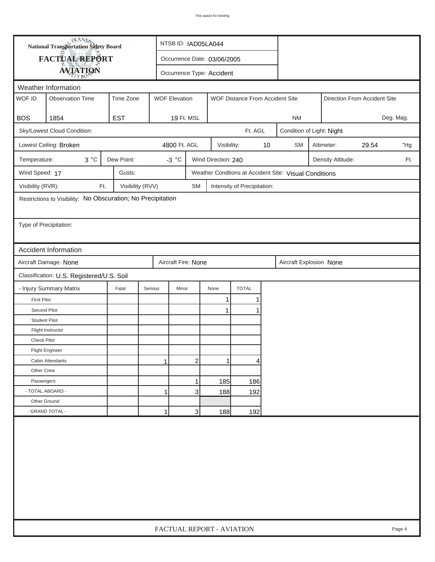| <b>National Transportation Safety Board</b> |                                                                         |                                              |         | NTSB ID: IAD05LA044                                     |              |                             |    |                                         |                                                       |                              |  |           |  |
|---------------------------------------------|-------------------------------------------------------------------------|----------------------------------------------|---------|---------------------------------------------------------|--------------|-----------------------------|----|-----------------------------------------|-------------------------------------------------------|------------------------------|--|-----------|--|
| <b>FACTUAL REPORT</b>                       |                                                                         |                                              |         | Occurrence Date: 03/06/2005                             |              |                             |    |                                         |                                                       |                              |  |           |  |
|                                             | <b>AVIATION</b>                                                         |                                              |         | Occurrence Type: Accident                               |              |                             |    |                                         |                                                       |                              |  |           |  |
| Weather Information                         |                                                                         |                                              |         |                                                         |              |                             |    |                                         |                                                       |                              |  |           |  |
| WOF ID                                      | <b>Observation Time</b>                                                 | Time Zone                                    |         | <b>WOF Elevation</b><br>WOF Distance From Accident Site |              |                             |    |                                         |                                                       | Direction From Accident Site |  |           |  |
|                                             |                                                                         |                                              |         |                                                         |              |                             |    |                                         |                                                       |                              |  |           |  |
| <b>BOS</b>                                  | 1854                                                                    | <b>EST</b>                                   |         | 19 Ft. MSL                                              |              |                             |    | <b>NM</b>                               |                                                       |                              |  | Deg. Mag. |  |
|                                             | Sky/Lowest Cloud Condition:                                             |                                              |         | Ft. AGL                                                 |              |                             |    |                                         | Condition of Light: Night                             |                              |  |           |  |
|                                             | Lowest Ceiling: Broken                                                  |                                              |         | 4800 Ft. AGL                                            | Visibility:  |                             | 10 | <b>SM</b><br>29.54<br>"Hg<br>Altimeter: |                                                       |                              |  |           |  |
| Temperature:                                | $3^{\circ}C$                                                            | Dew Point:<br>$-3 °C$<br>Wind Direction: 240 |         |                                                         |              |                             |    |                                         |                                                       | Density Altitude:            |  | Ft.       |  |
| Wind Speed: 17                              |                                                                         | Gusts:                                       |         |                                                         |              |                             |    |                                         | Weather Condtions at Accident Site: Visual Conditions |                              |  |           |  |
| Visibility (RVR):                           | Ft.                                                                     | Visibility (RVV)                             |         | <b>SM</b>                                               |              | Intensity of Precipitation: |    |                                         |                                                       |                              |  |           |  |
|                                             | Restrictions to Visibility: No Obscuration; No Precipitation            |                                              |         |                                                         |              |                             |    |                                         |                                                       |                              |  |           |  |
|                                             |                                                                         |                                              |         |                                                         |              |                             |    |                                         |                                                       |                              |  |           |  |
| Type of Precipitation:                      |                                                                         |                                              |         |                                                         |              |                             |    |                                         |                                                       |                              |  |           |  |
|                                             |                                                                         |                                              |         |                                                         |              |                             |    |                                         |                                                       |                              |  |           |  |
|                                             | <b>Accident Information</b>                                             |                                              |         |                                                         |              |                             |    |                                         |                                                       |                              |  |           |  |
|                                             | Aircraft Fire: None<br>Aircraft Damage: None<br>Aircraft Explosion None |                                              |         |                                                         |              |                             |    |                                         |                                                       |                              |  |           |  |
| Classification: U.S. Registered/U.S. Soil   |                                                                         |                                              |         |                                                         |              |                             |    |                                         |                                                       |                              |  |           |  |
|                                             | - Injury Summary Matrix                                                 | Fatal                                        | Serious | Minor                                                   | None         | <b>TOTAL</b>                |    |                                         |                                                       |                              |  |           |  |
| <b>First Pilot</b>                          |                                                                         |                                              |         |                                                         | 1            |                             |    |                                         |                                                       |                              |  |           |  |
| Second Pilot                                |                                                                         |                                              |         |                                                         | $\mathbf{1}$ | 1                           |    |                                         |                                                       |                              |  |           |  |
| <b>Student Pilot</b>                        |                                                                         |                                              |         |                                                         |              |                             |    |                                         |                                                       |                              |  |           |  |
|                                             | Flight Instructor                                                       |                                              |         |                                                         |              |                             |    |                                         |                                                       |                              |  |           |  |
| <b>Check Pilot</b>                          |                                                                         |                                              |         |                                                         |              |                             |    |                                         |                                                       |                              |  |           |  |
|                                             | <b>Flight Engineer</b>                                                  |                                              |         |                                                         |              |                             |    |                                         |                                                       |                              |  |           |  |
|                                             | Cabin Attendants                                                        |                                              | 1       | $\overline{c}$                                          | 1            | 4                           |    |                                         |                                                       |                              |  |           |  |
| Other Crew                                  |                                                                         |                                              |         |                                                         |              |                             |    |                                         |                                                       |                              |  |           |  |
| Passengers                                  |                                                                         |                                              |         | 1                                                       | 185          | 186                         |    |                                         |                                                       |                              |  |           |  |
| - TOTAL ABOARD -                            |                                                                         |                                              | 1       | 3                                                       | 188          | 192                         |    |                                         |                                                       |                              |  |           |  |
| Other Ground                                |                                                                         |                                              |         |                                                         |              |                             |    |                                         |                                                       |                              |  |           |  |
|                                             | - GRAND TOTAL -                                                         |                                              | 1       | 3                                                       | 188          | 192                         |    |                                         |                                                       |                              |  |           |  |
|                                             |                                                                         |                                              |         |                                                         |              |                             |    |                                         |                                                       |                              |  |           |  |
|                                             | FACTUAL REPORT - AVIATION<br>Page 4                                     |                                              |         |                                                         |              |                             |    |                                         |                                                       |                              |  |           |  |